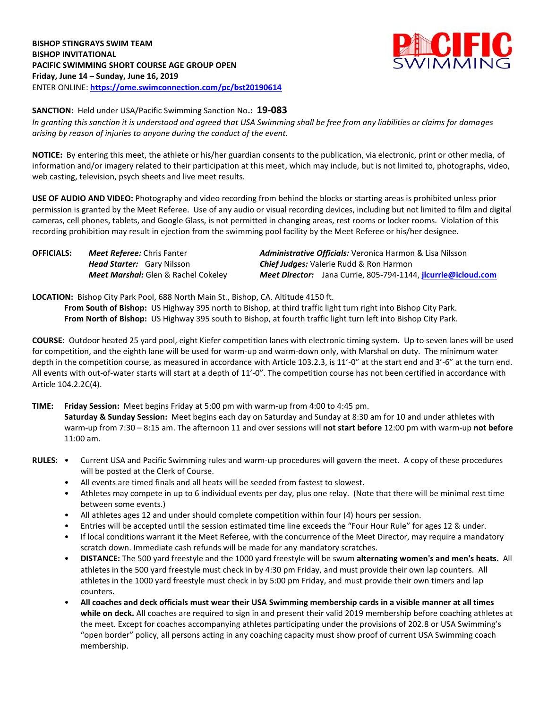

**SANCTION:** Held under USA/Pacific Swimming Sanction No**.: 19-083**

*In granting this sanction it is understood and agreed that USA Swimming shall be free from any liabilities or claims for damages arising by reason of injuries to anyone during the conduct of the event.*

**NOTICE:** By entering this meet, the athlete or his/her guardian consents to the publication, via electronic, print or other media, of information and/or imagery related to their participation at this meet, which may include, but is not limited to, photographs, video, web casting, television, psych sheets and live meet results.

**USE OF AUDIO AND VIDEO:** Photography and video recording from behind the blocks or starting areas is prohibited unless prior permission is granted by the Meet Referee. Use of any audio or visual recording devices, including but not limited to film and digital cameras, cell phones, tablets, and Google Glass, is not permitted in changing areas, rest rooms or locker rooms. Violation of this recording prohibition may result in ejection from the swimming pool facility by the Meet Referee or his/her designee.

| <b>OFFICIALS:</b> | <b>Meet Referee:</b> Chris Fanter          | <b>Administrative Officials:</b> Veronica Harmon & Lisa Nilsson |
|-------------------|--------------------------------------------|-----------------------------------------------------------------|
|                   | <b>Head Starter:</b> Gary Nilsson          | <b>Chief Judges:</b> Valerie Rudd & Ron Harmon                  |
|                   | <b>Meet Marshal:</b> Glen & Rachel Cokeley | Meet Director: Jana Currie, 805-794-1144, jlcurrie@icloud.com   |

**LOCATION:** Bishop City Park Pool, 688 North Main St., Bishop, CA. Altitude 4150 ft.

**From South of Bishop:** US Highway 395 north to Bishop, at third traffic light turn right into Bishop City Park. **From North of Bishop:** US Highway 395 south to Bishop, at fourth traffic light turn left into Bishop City Park.

**COURSE:** Outdoor heated 25 yard pool, eight Kiefer competition lanes with electronic timing system. Up to seven lanes will be used for competition, and the eighth lane will be used for warm-up and warm-down only, with Marshal on duty. The minimum water depth in the competition course, as measured in accordance with Article 103.2.3, is 11'-0" at the start end and 3'-6" at the turn end. All events with out-of-water starts will start at a depth of 11'-0". The competition course has not been certified in accordance with Article 104.2.2C(4).

**TIME: Friday Session:** Meet begins Friday at 5:00 pm with warm-up from 4:00 to 4:45 pm. **Saturday & Sunday Session:** Meet begins each day on Saturday and Sunday at 8:30 am for 10 and under athletes with warm-up from 7:30 – 8:15 am. The afternoon 11 and over sessions will **not start before** 12:00 pm with warm-up **not before**  11:00 am.

- **RULES:** Current USA and Pacific Swimming rules and warm-up procedures will govern the meet. A copy of these procedures will be posted at the Clerk of Course.
	- All events are timed finals and all heats will be seeded from fastest to slowest.
	- Athletes may compete in up to 6 individual events per day, plus one relay. (Note that there will be minimal rest time between some events.)
	- All athletes ages 12 and under should complete competition within four (4) hours per session.
	- Entries will be accepted until the session estimated time line exceeds the "Four Hour Rule" for ages 12 & under.
	- If local conditions warrant it the Meet Referee, with the concurrence of the Meet Director, may require a mandatory scratch down. Immediate cash refunds will be made for any mandatory scratches.
	- **DISTANCE:** The 500 yard freestyle and the 1000 yard freestyle will be swum **alternating women's and men's heats.** All athletes in the 500 yard freestyle must check in by 4:30 pm Friday, and must provide their own lap counters. All athletes in the 1000 yard freestyle must check in by 5:00 pm Friday, and must provide their own timers and lap counters.
	- **All coaches and deck officials must wear their USA Swimming membership cards in a visible manner at all times while on deck.** All coaches are required to sign in and present their valid 2019 membership before coaching athletes at the meet. Except for coaches accompanying athletes participating under the provisions of 202.8 or USA Swimming's "open border" policy, all persons acting in any coaching capacity must show proof of current USA Swimming coach membership.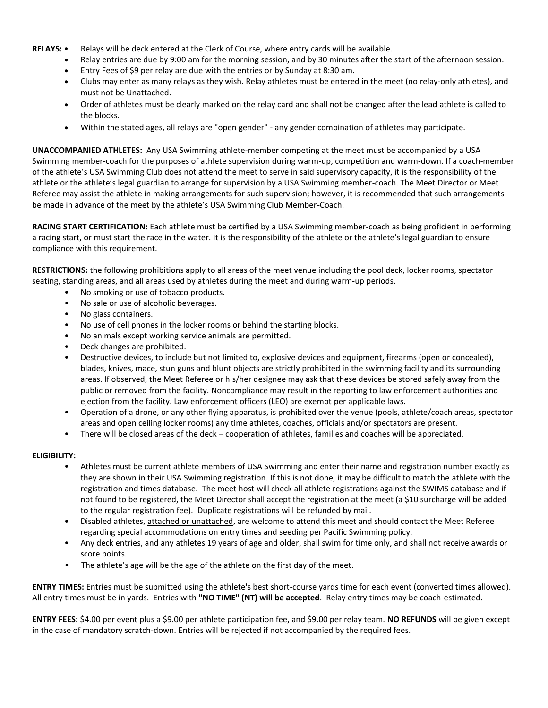- **RELAYS:** Relays will be deck entered at the Clerk of Course, where entry cards will be available.
	- Relay entries are due by 9:00 am for the morning session, and by 30 minutes after the start of the afternoon session.
	- Entry Fees of \$9 per relay are due with the entries or by Sunday at 8:30 am.
	- Clubs may enter as many relays as they wish. Relay athletes must be entered in the meet (no relay-only athletes), and must not be Unattached.
	- Order of athletes must be clearly marked on the relay card and shall not be changed after the lead athlete is called to the blocks.
	- Within the stated ages, all relays are "open gender" any gender combination of athletes may participate.

**UNACCOMPANIED ATHLETES:** Any USA Swimming athlete-member competing at the meet must be accompanied by a USA Swimming member-coach for the purposes of athlete supervision during warm-up, competition and warm-down. If a coach-member of the athlete's USA Swimming Club does not attend the meet to serve in said supervisory capacity, it is the responsibility of the athlete or the athlete's legal guardian to arrange for supervision by a USA Swimming member-coach. The Meet Director or Meet Referee may assist the athlete in making arrangements for such supervision; however, it is recommended that such arrangements be made in advance of the meet by the athlete's USA Swimming Club Member-Coach.

**RACING START CERTIFICATION:** Each athlete must be certified by a USA Swimming member-coach as being proficient in performing a racing start, or must start the race in the water. It is the responsibility of the athlete or the athlete's legal guardian to ensure compliance with this requirement.

**RESTRICTIONS:** the following prohibitions apply to all areas of the meet venue including the pool deck, locker rooms, spectator seating, standing areas, and all areas used by athletes during the meet and during warm-up periods.

- No smoking or use of tobacco products.
- No sale or use of alcoholic beverages.
- No glass containers.
- No use of cell phones in the locker rooms or behind the starting blocks.
- No animals except working service animals are permitted.
- Deck changes are prohibited.
- Destructive devices, to include but not limited to, explosive devices and equipment, firearms (open or concealed), blades, knives, mace, stun guns and blunt objects are strictly prohibited in the swimming facility and its surrounding areas. If observed, the Meet Referee or his/her designee may ask that these devices be stored safely away from the public or removed from the facility. Noncompliance may result in the reporting to law enforcement authorities and ejection from the facility. Law enforcement officers (LEO) are exempt per applicable laws.
- Operation of a drone, or any other flying apparatus, is prohibited over the venue (pools, athlete/coach areas, spectator areas and open ceiling locker rooms) any time athletes, coaches, officials and/or spectators are present.
- There will be closed areas of the deck cooperation of athletes, families and coaches will be appreciated.

## **ELIGIBILITY:**

- Athletes must be current athlete members of USA Swimming and enter their name and registration number exactly as they are shown in their USA Swimming registration. If this is not done, it may be difficult to match the athlete with the registration and times database. The meet host will check all athlete registrations against the SWIMS database and if not found to be registered, the Meet Director shall accept the registration at the meet (a \$10 surcharge will be added to the regular registration fee). Duplicate registrations will be refunded by mail.
- Disabled athletes, attached or unattached, are welcome to attend this meet and should contact the Meet Referee regarding special accommodations on entry times and seeding per Pacific Swimming policy.
- Any deck entries, and any athletes 19 years of age and older, shall swim for time only, and shall not receive awards or score points.
- The athlete's age will be the age of the athlete on the first day of the meet.

**ENTRY TIMES:** Entries must be submitted using the athlete's best short-course yards time for each event (converted times allowed). All entry times must be in yards. Entries with **"NO TIME" (NT) will be accepted**. Relay entry times may be coach-estimated.

**ENTRY FEES:** \$4.00 per event plus a \$9.00 per athlete participation fee, and \$9.00 per relay team. **NO REFUNDS** will be given except in the case of mandatory scratch-down. Entries will be rejected if not accompanied by the required fees.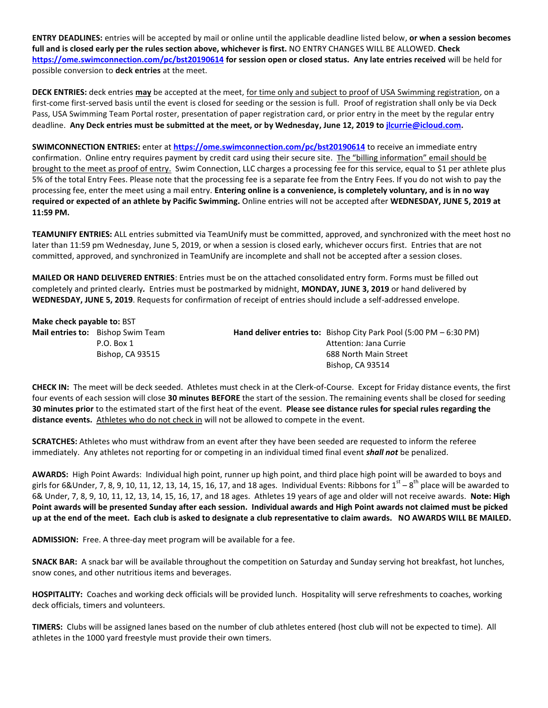**ENTRY DEADLINES:** entries will be accepted by mail or online until the applicable deadline listed below, **or when a session becomes full and is closed early per the rules section above, whichever is first.** NO ENTRY CHANGES WILL BE ALLOWED. **Check https://ome.swimconnection.com/pc/bst20190614 for session open or closed status. Any late entries received** will be held for possible conversion to **deck entries** at the meet.

**DECK ENTRIES:** deck entries **may** be accepted at the meet, for time only and subject to proof of USA Swimming registration, on a first-come first-served basis until the event is closed for seeding or the session is full. Proof of registration shall only be via Deck Pass, USA Swimming Team Portal roster, presentation of paper registration card, or prior entry in the meet by the regular entry deadline. **Any Deck entries must be submitted at the meet, or by Wednesday, June 12, 2019 t[o jlcurrie@icloud.com.](mailto:jlcurrie@icloud.com)**

**SWIMCONNECTION ENTRIES:** enter at **https://ome.swimconnection.com/pc/bst20190614** to receive an immediate entry confirmation. Online entry requires payment by credit card using their secure site. The "billing information" email should be brought to the meet as proof of entry. Swim Connection, LLC charges a processing fee for this service, equal to \$1 per athlete plus 5% of the total Entry Fees. Please note that the processing fee is a separate fee from the Entry Fees. If you do not wish to pay the processing fee, enter the meet using a mail entry. **Entering online is a convenience, is completely voluntary, and is in no way required or expected of an athlete by Pacific Swimming.** Online entries will not be accepted after **WEDNESDAY, JUNE 5, 2019 at 11:59 PM.**

**TEAMUNIFY ENTRIES:** ALL entries submitted via TeamUnify must be committed, approved, and synchronized with the meet host no later than 11:59 pm Wednesday, June 5, 2019, or when a session is closed early, whichever occurs first. Entries that are not committed, approved, and synchronized in TeamUnify are incomplete and shall not be accepted after a session closes.

**MAILED OR HAND DELIVERED ENTRIES**: Entries must be on the attached consolidated entry form. Forms must be filled out completely and printed clearly*.* Entries must be postmarked by midnight, **MONDAY, JUNE 3, 2019** or hand delivered by **WEDNESDAY, JUNE 5, 2019**. Requests for confirmation of receipt of entries should include a self-addressed envelope.

**Make check payable to:** BST **Mail entries to:** Bishop Swim Team **Hand deliver entries to:** Bishop City Park Pool (5:00 PM – 6:30 PM) P.O. Box 1 Attention: Jana Currie Bishop, CA 93515 688 North Main Street Bishop, CA 93514

**CHECK IN:** The meet will be deck seeded. Athletes must check in at the Clerk-of-Course. Except for Friday distance events, the first four events of each session will close **30 minutes BEFORE** the start of the session. The remaining events shall be closed for seeding **30 minutes prior** to the estimated start of the first heat of the event. **Please see distance rules for special rules regarding the distance events.** Athletes who do not check in will not be allowed to compete in the event.

**SCRATCHES:** Athletes who must withdraw from an event after they have been seeded are requested to inform the referee immediately. Any athletes not reporting for or competing in an individual timed final event *shall not* be penalized.

**AWARDS:** High Point Awards: Individual high point, runner up high point, and third place high point will be awarded to boys and girls for 6&Under, 7, 8, 9, 10, 11, 12, 13, 14, 15, 16, 17, and 18 ages. Individual Events: Ribbons for  $1^{\rm st}$  –  $8^{\rm th}$  place will be awarded to 6& Under, 7, 8, 9, 10, 11, 12, 13, 14, 15, 16, 17, and 18 ages. Athletes 19 years of age and older will not receive awards. **Note: High Point awards will be presented Sunday after each session. Individual awards and High Point awards not claimed must be picked up at the end of the meet. Each club is asked to designate a club representative to claim awards. NO AWARDS WILL BE MAILED.**

**ADMISSION:** Free. A three-day meet program will be available for a fee.

**SNACK BAR:** A snack bar will be available throughout the competition on Saturday and Sunday serving hot breakfast, hot lunches, snow cones, and other nutritious items and beverages.

**HOSPITALITY:** Coaches and working deck officials will be provided lunch. Hospitality will serve refreshments to coaches, working deck officials, timers and volunteers.

**TIMERS:** Clubs will be assigned lanes based on the number of club athletes entered (host club will not be expected to time). All athletes in the 1000 yard freestyle must provide their own timers.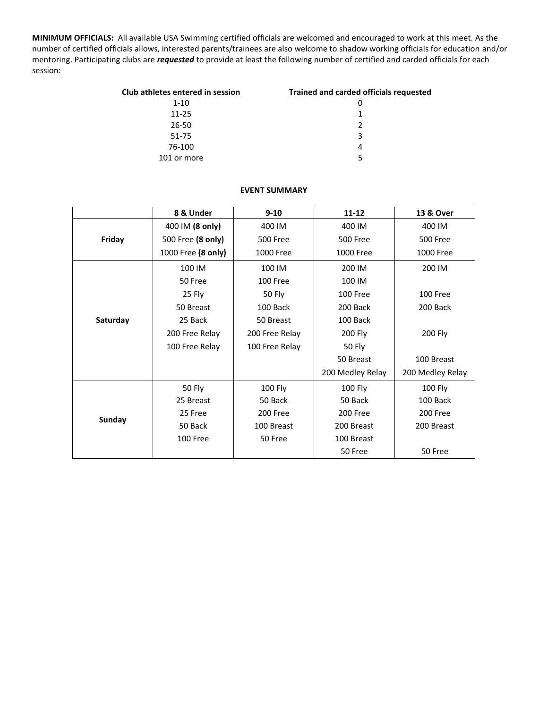**MINIMUM OFFICIALS:** All available USA Swimming certified officials are welcomed and encouraged to work at this meet. As the number of certified officials allows, interested parents/trainees are also welcome to shadow working officials for education and/or mentoring. Participating clubs are *requested* to provide at least the following number of certified and carded officials for each session:

| Club athletes entered in session | <b>Trained and carded officials requested</b> |
|----------------------------------|-----------------------------------------------|
| $1 - 10$                         |                                               |
| $11 - 25$                        |                                               |
| $26 - 50$                        | $\mathcal{P}$                                 |
| 51-75                            | 3                                             |
| 76-100                           | 4                                             |
| 101 or more                      | 5                                             |

## **EVENT SUMMARY**

|          | 8 & Under          | $9 - 10$        | $11 - 12$        | 13 & Over        |
|----------|--------------------|-----------------|------------------|------------------|
|          | 400 IM (8 only)    | 400 IM          | 400 IM           | 400 IM           |
| Friday   | 500 Free (8 only)  | <b>500 Free</b> | <b>500 Free</b>  | <b>500 Free</b>  |
|          | 1000 Free (8 only) | 1000 Free       | 1000 Free        | 1000 Free        |
|          | 100 IM             | 100 IM          | 200 IM           | 200 IM           |
|          | 50 Free            | 100 Free        | 100 IM           |                  |
|          | 25 Fly             | 50 Fly          | 100 Free         | 100 Free         |
| Saturday | 50 Breast          | 100 Back        | 200 Back         | 200 Back         |
|          | 25 Back            | 50 Breast       | 100 Back         |                  |
|          | 200 Free Relay     | 200 Free Relay  | 200 Fly          | 200 Fly          |
|          | 100 Free Relay     | 100 Free Relay  | 50 Fly           |                  |
|          |                    |                 | 50 Breast        | 100 Breast       |
|          |                    |                 | 200 Medley Relay | 200 Medley Relay |
|          | 50 Fly             | 100 Fly         | 100 Fly          | 100 Fly          |
|          | 25 Breast          | 50 Back         | 50 Back          | 100 Back         |
| Sunday   | 25 Free            | 200 Free        | 200 Free         | 200 Free         |
|          | 50 Back            | 100 Breast      | 200 Breast       | 200 Breast       |
|          | 100 Free           | 50 Free         | 100 Breast       |                  |
|          |                    |                 | 50 Free          | 50 Free          |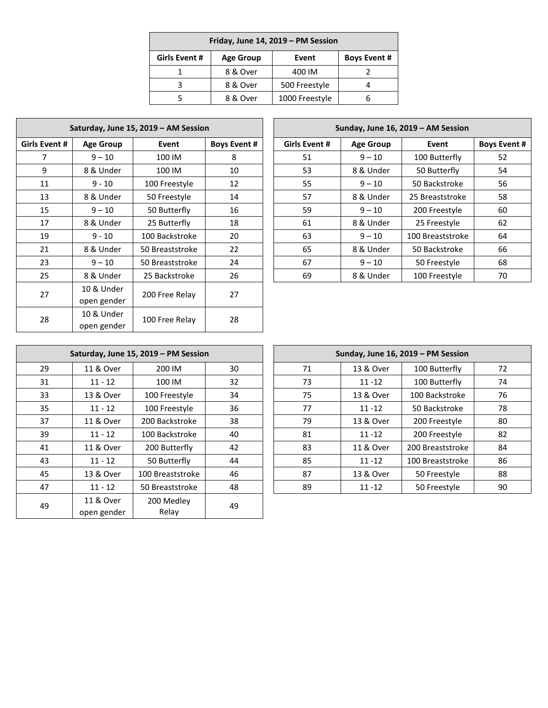| Friday, June 14, 2019 - PM Session |                  |                |                     |  |  |  |  |
|------------------------------------|------------------|----------------|---------------------|--|--|--|--|
| Girls Event #                      | <b>Age Group</b> | Event          | <b>Boys Event #</b> |  |  |  |  |
|                                    | 8 & Over         | 400 IM         |                     |  |  |  |  |
|                                    | 8 & Over         | 500 Freestyle  |                     |  |  |  |  |
|                                    | 8 & Over         | 1000 Freestyle |                     |  |  |  |  |

| Saturday, June 15, 2019 - AM Session |                  |                 |                     |  | Sunday, June 16, 2019 - AM Session |                  |                  |  |
|--------------------------------------|------------------|-----------------|---------------------|--|------------------------------------|------------------|------------------|--|
| Girls Event #                        | <b>Age Group</b> | Event           | <b>Boys Event #</b> |  | Girls Event #                      | <b>Age Group</b> | Event            |  |
| 7                                    | $9 - 10$         | 100 IM          | 8                   |  | 51                                 | $9 - 10$         | 100 Butterfly    |  |
| 9                                    | 8 & Under        | 100 IM          | 10                  |  | 53                                 | 8 & Under        | 50 Butterfly     |  |
| 11                                   | $9 - 10$         | 100 Freestyle   | 12                  |  | 55                                 | $9 - 10$         | 50 Backstroke    |  |
| 13                                   | 8 & Under        | 50 Freestyle    | 14                  |  | 57                                 | 8 & Under        | 25 Breaststroke  |  |
| 15                                   | $9 - 10$         | 50 Butterfly    | 16                  |  | 59                                 | $9 - 10$         | 200 Freestyle    |  |
| 17                                   | 8 & Under        | 25 Butterfly    | 18                  |  | 61                                 | 8 & Under        | 25 Freestyle     |  |
| 19                                   | $9 - 10$         | 100 Backstroke  | 20                  |  | 63                                 | $9 - 10$         | 100 Breaststroke |  |
| 21                                   | 8 & Under        | 50 Breaststroke | 22                  |  | 65                                 | 8 & Under        | 50 Backstroke    |  |
| 23                                   | $9 - 10$         | 50 Breaststroke | 24                  |  | 67                                 | $9 - 10$         | 50 Freestyle     |  |
| 25                                   | 8 & Under        | 25 Backstroke   | 26                  |  | 69                                 | 8 & Under        | 100 Freestyle    |  |
| 27                                   | 10 & Under       |                 | 27                  |  |                                    |                  |                  |  |
|                                      | open gender      | 200 Free Relay  |                     |  |                                    |                  |                  |  |
| 28                                   | 10 & Under       | 100 Free Relay  | 28                  |  |                                    |                  |                  |  |
|                                      | open gender      |                 |                     |  |                                    |                  |                  |  |

|               |                  | Saturday, June 15, 2019 – AM Session |                     | Sunday, June 16, 2019 – AM Session |                  |                  |                     |  |  |
|---------------|------------------|--------------------------------------|---------------------|------------------------------------|------------------|------------------|---------------------|--|--|
| Girls Event # | <b>Age Group</b> | Event                                | <b>Boys Event #</b> | <b>Girls Event #</b>               | <b>Age Group</b> | Event            | <b>Boys Event #</b> |  |  |
|               | $9 - 10$         | 100 IM                               | 8                   | 51                                 | $9 - 10$         | 100 Butterfly    | 52                  |  |  |
| 9             | 8 & Under        | 100 IM                               | 10                  | 53                                 | 8 & Under        | 50 Butterfly     | 54                  |  |  |
| 11            | $9 - 10$         | 100 Freestyle                        | 12                  | 55                                 | $9 - 10$         | 50 Backstroke    | 56                  |  |  |
| 13            | 8 & Under        | 50 Freestyle                         | 14                  | 57                                 | 8 & Under        | 25 Breaststroke  | 58                  |  |  |
| 15            | $9 - 10$         | 50 Butterfly                         | 16                  | 59                                 | $9 - 10$         | 200 Freestyle    | 60                  |  |  |
| 17            | 8 & Under        | 25 Butterfly                         | 18                  | 61                                 | 8 & Under        | 25 Freestyle     | 62                  |  |  |
| 19            | $9 - 10$         | 100 Backstroke                       | 20                  | 63                                 | $9 - 10$         | 100 Breaststroke | 64                  |  |  |
| 21            | 8 & Under        | 50 Breaststroke                      | 22                  | 65                                 | 8 & Under        | 50 Backstroke    | 66                  |  |  |
| 23            | $9 - 10$         | 50 Breaststroke                      | 24                  | 67                                 | $9 - 10$         | 50 Freestyle     | 68                  |  |  |
| 25            | 8 & Under        | 25 Backstroke                        | 26                  | 69                                 | 8 & Under        | 100 Freestyle    | 70                  |  |  |
|               |                  |                                      |                     |                                    |                  |                  |                     |  |  |

|    | Saturday, June 15, 2019 - PM Session |                     |    |  |    |           | Sunday, June 16, 2019 - PM Session |
|----|--------------------------------------|---------------------|----|--|----|-----------|------------------------------------|
| 29 | 11 & Over                            | 200 IM              | 30 |  | 71 | 13 & Over | 100 Butterfly                      |
| 31 | $11 - 12$                            | 100 IM              | 32 |  | 73 | $11 - 12$ | 100 Butterfly                      |
| 33 | 13 & Over                            | 100 Freestyle       | 34 |  | 75 | 13 & Over | 100 Backstroke                     |
| 35 | $11 - 12$                            | 100 Freestyle       | 36 |  | 77 | $11 - 12$ | 50 Backstroke                      |
| 37 | 11 & Over                            | 200 Backstroke      | 38 |  | 79 | 13 & Over | 200 Freestyle                      |
| 39 | $11 - 12$                            | 100 Backstroke      | 40 |  | 81 | $11 - 12$ | 200 Freestyle                      |
| 41 | 11 & Over                            | 200 Butterfly       | 42 |  | 83 | 11 & Over | 200 Breaststroke                   |
| 43 | $11 - 12$                            | 50 Butterfly        | 44 |  | 85 | $11 - 12$ | 100 Breaststroke                   |
| 45 | 13 & Over                            | 100 Breaststroke    | 46 |  | 87 | 13 & Over | 50 Freestyle                       |
| 47 | $11 - 12$                            | 50 Breaststroke     | 48 |  | 89 | $11 - 12$ | 50 Freestyle                       |
| 49 | 11 & Over<br>open gender             | 200 Medley<br>Relay | 49 |  |    |           |                                    |

|     |           | Saturday, June 15, 2019 - PM Session |    | Sunday, June 16, 2019 - PM Session |           |                  |    |
|-----|-----------|--------------------------------------|----|------------------------------------|-----------|------------------|----|
| 29  | 11 & Over | 200 IM                               | 30 | 71                                 | 13 & Over | 100 Butterfly    | 72 |
| 31  | $11 - 12$ | 100 IM                               | 32 | 73                                 | $11 - 12$ | 100 Butterfly    | 74 |
| 33. | 13 & Over | 100 Freestyle                        | 34 | 75                                 | 13 & Over | 100 Backstroke   | 76 |
| 35  | $11 - 12$ | 100 Freestyle                        | 36 | 77                                 | $11 - 12$ | 50 Backstroke    | 78 |
| 37  | 11 & Over | 200 Backstroke                       | 38 | 79                                 | 13 & Over | 200 Freestyle    | 80 |
| 39  | $11 - 12$ | 100 Backstroke                       | 40 | 81                                 | $11 - 12$ | 200 Freestyle    | 82 |
| 41  | 11 & Over | 200 Butterfly                        | 42 | 83                                 | 11 & Over | 200 Breaststroke | 84 |
| 43  | $11 - 12$ | 50 Butterfly                         | 44 | 85                                 | $11 - 12$ | 100 Breaststroke | 86 |
| 45  | 13 & Over | 100 Breaststroke                     | 46 | 87                                 | 13 & Over | 50 Freestyle     | 88 |
| 47  | $11 - 12$ | 50 Breaststroke                      | 48 | 89                                 | $11 - 12$ | 50 Freestyle     | 90 |
|     |           |                                      |    |                                    |           |                  |    |